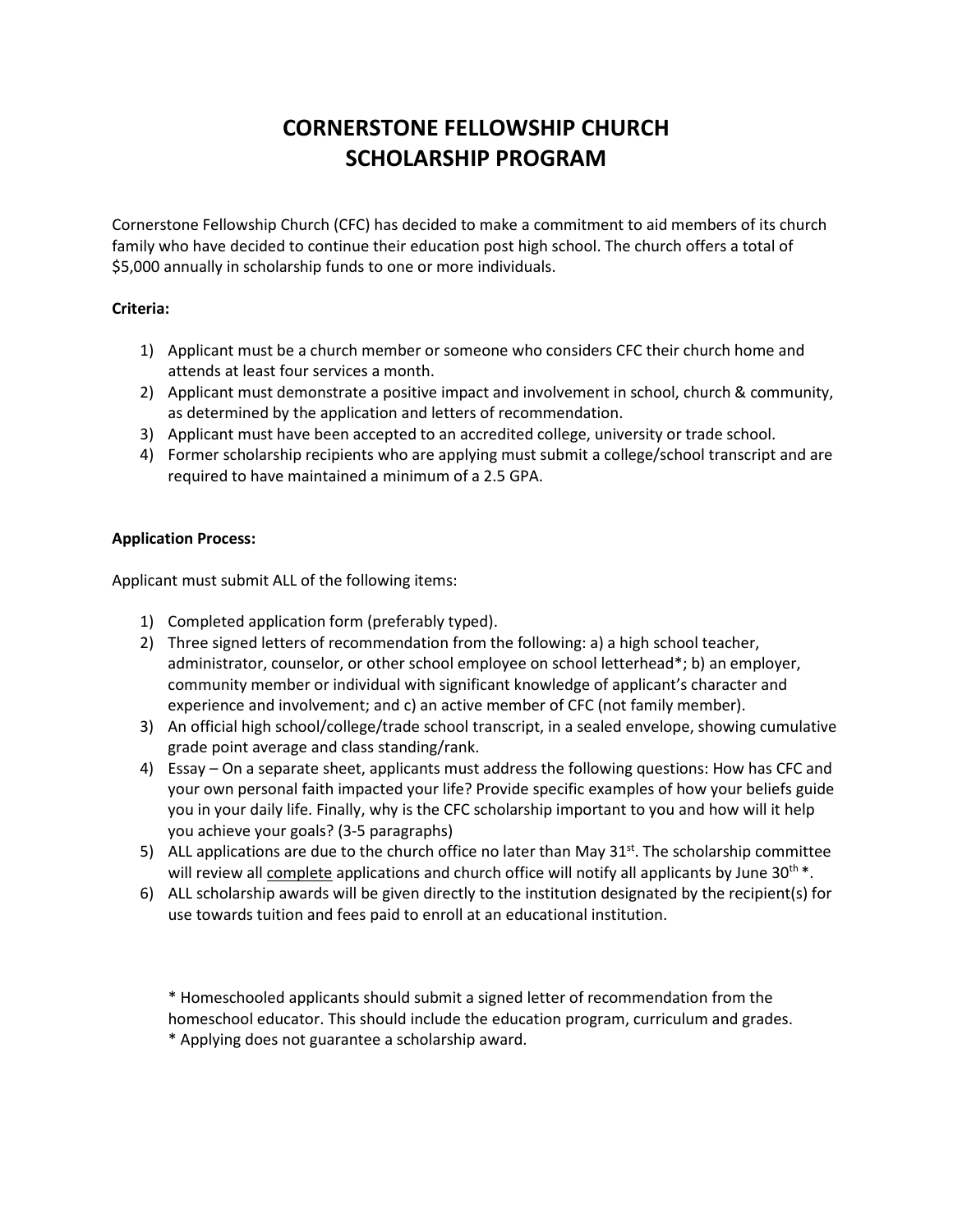# **CORNERSTONE FELLOWSHIP CHURCH SCHOLARSHIP PROGRAM**

Cornerstone Fellowship Church (CFC) has decided to make a commitment to aid members of its church family who have decided to continue their education post high school. The church offers a total of \$5,000 annually in scholarship funds to one or more individuals.

### **Criteria:**

- 1) Applicant must be a church member or someone who considers CFC their church home and attends at least four services a month.
- 2) Applicant must demonstrate a positive impact and involvement in school, church & community, as determined by the application and letters of recommendation.
- 3) Applicant must have been accepted to an accredited college, university or trade school.
- 4) Former scholarship recipients who are applying must submit a college/school transcript and are required to have maintained a minimum of a 2.5 GPA.

### **Application Process:**

Applicant must submit ALL of the following items:

- 1) Completed application form (preferably typed).
- 2) Three signed letters of recommendation from the following: a) a high school teacher, administrator, counselor, or other school employee on school letterhead\*; b) an employer, community member or individual with significant knowledge of applicant's character and experience and involvement; and c) an active member of CFC (not family member).
- 3) An official high school/college/trade school transcript, in a sealed envelope, showing cumulative grade point average and class standing/rank.
- 4) Essay On a separate sheet, applicants must address the following questions: How has CFC and your own personal faith impacted your life? Provide specific examples of how your beliefs guide you in your daily life. Finally, why is the CFC scholarship important to you and how will it help you achieve your goals? (3-5 paragraphs)
- 5) ALL applications are due to the church office no later than May  $31<sup>st</sup>$ . The scholarship committee will review all complete applications and church office will notify all applicants by June  $30^{th}$ .
- 6) ALL scholarship awards will be given directly to the institution designated by the recipient(s) for use towards tuition and fees paid to enroll at an educational institution.

\* Homeschooled applicants should submit a signed letter of recommendation from the homeschool educator. This should include the education program, curriculum and grades.

\* Applying does not guarantee a scholarship award.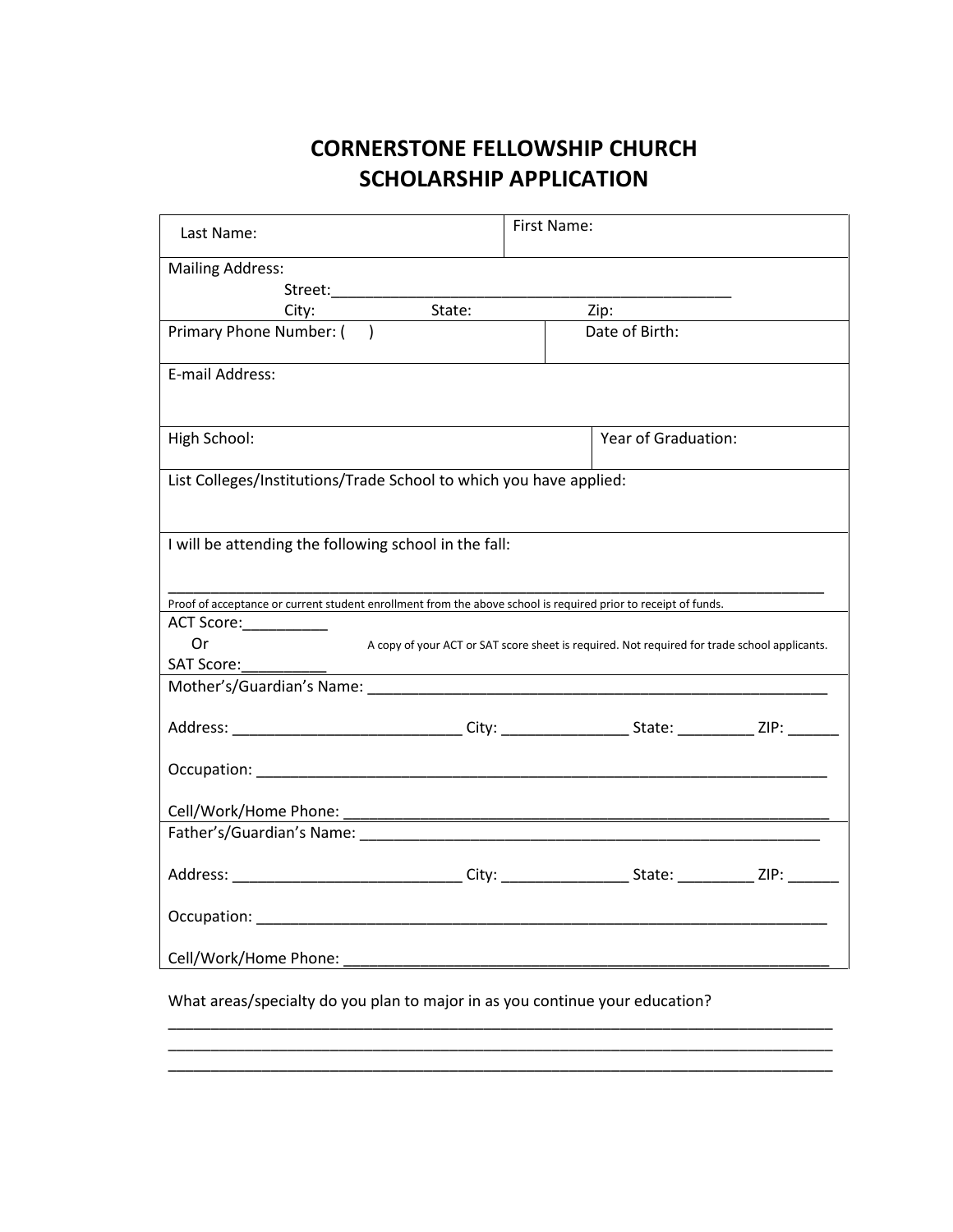## **CORNERSTONE FELLOWSHIP CHURCH SCHOLARSHIP APPLICATION**

| Last Name:                                                                                                     | First Name:                                                                                  |
|----------------------------------------------------------------------------------------------------------------|----------------------------------------------------------------------------------------------|
| <b>Mailing Address:</b>                                                                                        |                                                                                              |
| Street:___________                                                                                             |                                                                                              |
| City:                                                                                                          | Zip:                                                                                         |
| Primary Phone Number: ()                                                                                       | Date of Birth:                                                                               |
| E-mail Address:                                                                                                |                                                                                              |
| High School:                                                                                                   | Year of Graduation:                                                                          |
| List Colleges/Institutions/Trade School to which you have applied:                                             |                                                                                              |
| I will be attending the following school in the fall:                                                          |                                                                                              |
| Proof of acceptance or current student enrollment from the above school is required prior to receipt of funds. |                                                                                              |
| ACT Score: ____________                                                                                        |                                                                                              |
| 0r                                                                                                             | A copy of your ACT or SAT score sheet is required. Not required for trade school applicants. |
| <b>SAT Score:</b>                                                                                              |                                                                                              |
|                                                                                                                |                                                                                              |
| Address: ________________________________City: _____________________State: ____________ZIP: ________           |                                                                                              |
|                                                                                                                |                                                                                              |
| Cell/Work/Home Phone:                                                                                          |                                                                                              |
|                                                                                                                |                                                                                              |
| Address: ________________________________City: _____________________State: _____________ZIP: _______           |                                                                                              |
|                                                                                                                |                                                                                              |
| Cell/Work/Home Phone:                                                                                          |                                                                                              |

What areas/specialty do you plan to major in as you continue your education?

\_\_\_\_\_\_\_\_\_\_\_\_\_\_\_\_\_\_\_\_\_\_\_\_\_\_\_\_\_\_\_\_\_\_\_\_\_\_\_\_\_\_\_\_\_\_\_\_\_\_\_\_\_\_\_\_\_\_\_\_\_\_\_\_\_\_\_\_\_\_\_\_\_\_\_\_\_\_ \_\_\_\_\_\_\_\_\_\_\_\_\_\_\_\_\_\_\_\_\_\_\_\_\_\_\_\_\_\_\_\_\_\_\_\_\_\_\_\_\_\_\_\_\_\_\_\_\_\_\_\_\_\_\_\_\_\_\_\_\_\_\_\_\_\_\_\_\_\_\_\_\_\_\_\_\_\_ \_\_\_\_\_\_\_\_\_\_\_\_\_\_\_\_\_\_\_\_\_\_\_\_\_\_\_\_\_\_\_\_\_\_\_\_\_\_\_\_\_\_\_\_\_\_\_\_\_\_\_\_\_\_\_\_\_\_\_\_\_\_\_\_\_\_\_\_\_\_\_\_\_\_\_\_\_\_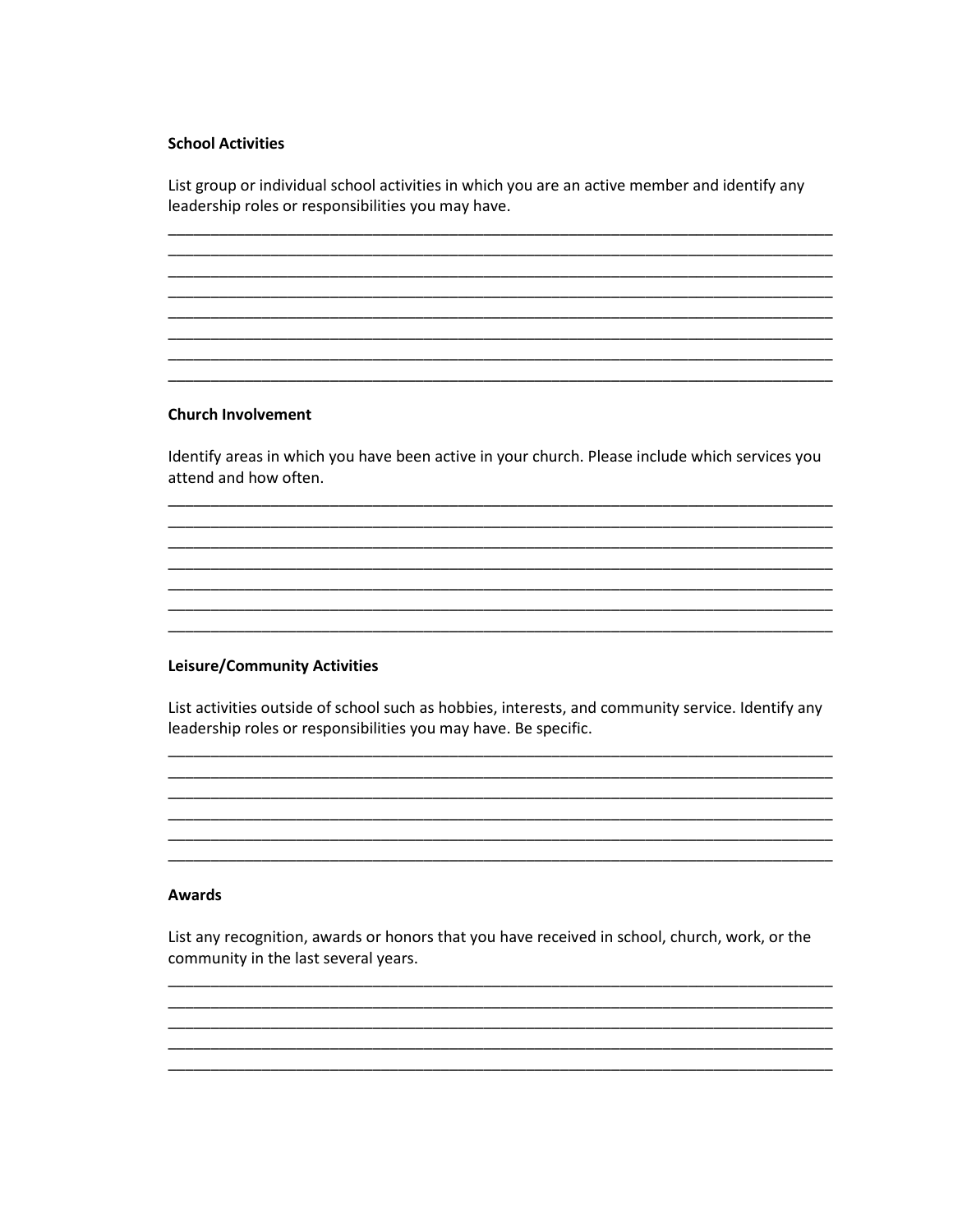#### **School Activities**

List group or individual school activities in which you are an active member and identify any leadership roles or responsibilities you may have.

#### **Church Involvement**

Identify areas in which you have been active in your church. Please include which services you attend and how often.

#### **Leisure/Community Activities**

List activities outside of school such as hobbies, interests, and community service. Identify any leadership roles or responsibilities you may have. Be specific.

#### **Awards**

List any recognition, awards or honors that you have received in school, church, work, or the community in the last several years.